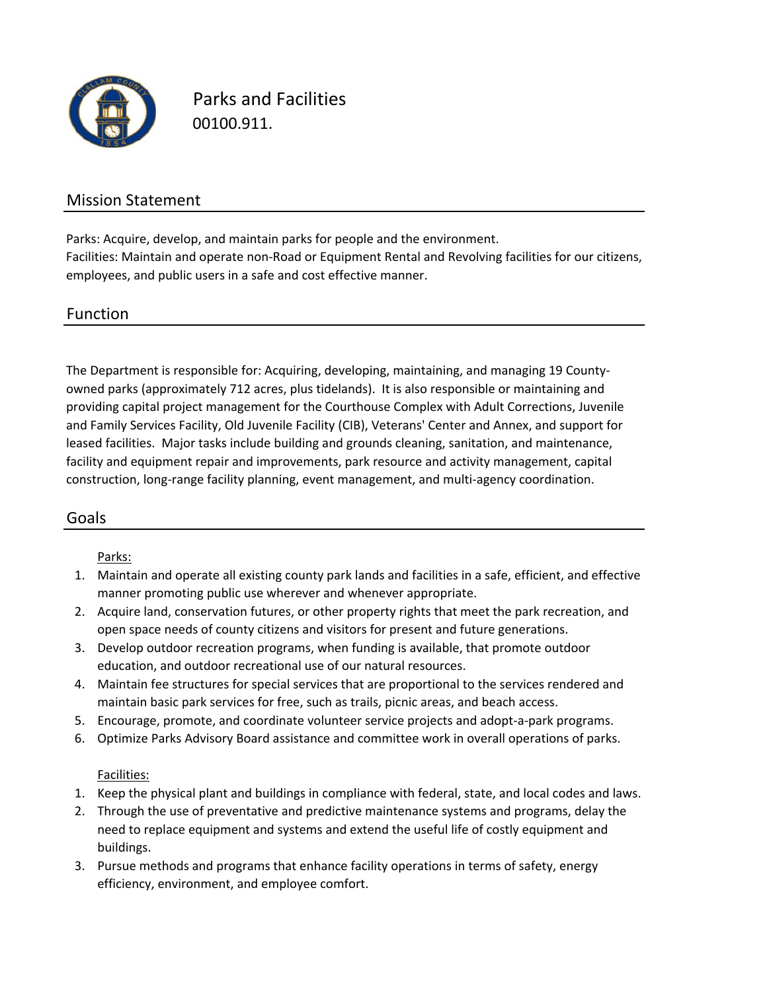

Parks and Facilities 00100.911.

### Mission Statement

Facilities: Maintain and operate non‐Road or Equipment Rental and Revolving facilities for our citizens, employees, and public users in a safe and cost effective manner. Parks: Acquire, develop, and maintain parks for people and the environment.

### Function

The Department is responsible for: Acquiring, developing, maintaining, and managing 19 County‐ owned parks (approximately 712 acres, plus tidelands). It is also responsible or maintaining and providing capital project management for the Courthouse Complex with Adult Corrections, Juvenile and Family Services Facility, Old Juvenile Facility (CIB), Veterans' Center and Annex, and support for leased facilities. Major tasks include building and grounds cleaning, sanitation, and maintenance, facility and equipment repair and improvements, park resource and activity management, capital construction, long‐range facility planning, event management, and multi‐agency coordination.

## Goals

#### Parks:

- 1. Maintain and operate all existing county park lands and facilities in a safe, efficient, and effective manner promoting public use wherever and whenever appropriate.
- 2. Acquire land, conservation futures, or other property rights that meet the park recreation, and open space needs of county citizens and visitors for present and future generations.
- 3. Develop outdoor recreation programs, when funding is available, that promote outdoor education, and outdoor recreational use of our natural resources.
- 4. Maintain fee structures for special services that are proportional to the services rendered and maintain basic park services for free, such as trails, picnic areas, and beach access.
- 5. Encourage, promote, and coordinate volunteer service projects and adopt‐a‐park programs.
- 6. Optimize Parks Advisory Board assistance and committee work in overall operations of parks.

#### Facilities:

- 1. Keep the physical plant and buildings in compliance with federal, state, and local codes and laws.
- 2. Through the use of preventative and predictive maintenance systems and programs, delay the need to replace equipment and systems and extend the useful life of costly equipment and buildings.
- 3. Pursue methods and programs that enhance facility operations in terms of safety, energy efficiency, environment, and employee comfort.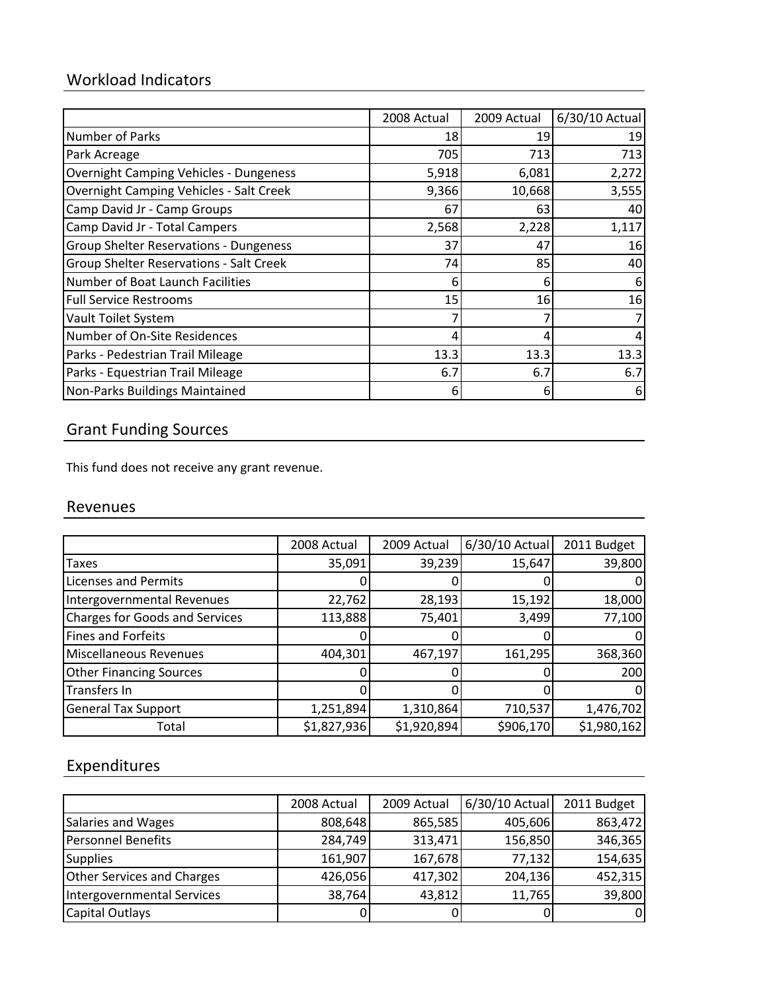## Workload Indicators

|                                                | 2008 Actual | 2009 Actual | 6/30/10 Actual |
|------------------------------------------------|-------------|-------------|----------------|
| Number of Parks                                | 18          | 19          | 19             |
| Park Acreage                                   | 705         | 713         | 713            |
| <b>Overnight Camping Vehicles - Dungeness</b>  | 5,918       | 6,081       | 2,272          |
| <b>Overnight Camping Vehicles - Salt Creek</b> | 9,366       | 10,668      | 3,555          |
| Camp David Jr - Camp Groups                    | 67          | 63          | 40             |
| Camp David Jr - Total Campers                  | 2,568       | 2,228       | 1,117          |
| <b>Group Shelter Reservations - Dungeness</b>  | 37          | 47          | 16             |
| Group Shelter Reservations - Salt Creek        | 74          | 85          | 40             |
| Number of Boat Launch Facilities               | 6           | 6           | 6              |
| <b>Full Service Restrooms</b>                  | 15          | 16          | 16             |
| Vault Toilet System                            |             |             |                |
| Number of On-Site Residences                   | 4           | 4           | 4              |
| Parks - Pedestrian Trail Mileage               | 13.3        | 13.3        | 13.3           |
| Parks - Equestrian Trail Mileage               | 6.7         | 6.7         | 6.7            |
| Non-Parks Buildings Maintained                 | 6           | 6           | 6              |

## Grant Funding Sources

This fund does not receive any grant revenue.

### Revenues

|                                       | 2008 Actual | 2009 Actual | 6/30/10 Actual | 2011 Budget |
|---------------------------------------|-------------|-------------|----------------|-------------|
| Taxes                                 | 35,091      | 39,239      | 15,647         | 39,800      |
| <b>Licenses and Permits</b>           |             |             |                |             |
| Intergovernmental Revenues            | 22,762      | 28,193      | 15,192         | 18,000      |
| <b>Charges for Goods and Services</b> | 113,888     | 75,401      | 3,499          | 77,100      |
| <b>Fines and Forfeits</b>             |             | 0           |                | 0           |
| Miscellaneous Revenues                | 404,301     | 467,197     | 161,295        | 368,360     |
| <b>Other Financing Sources</b>        |             |             |                | 200         |
| Transfers In                          |             | 0           |                | 0           |
| <b>General Tax Support</b>            | 1,251,894   | 1,310,864   | 710,537        | 1,476,702   |
| Total                                 | \$1,827,936 | \$1,920,894 | \$906,170      | \$1,980,162 |

## Expenditures

|                                   | 2008 Actual | 2009 Actual | 6/30/10 Actual | 2011 Budget |
|-----------------------------------|-------------|-------------|----------------|-------------|
| Salaries and Wages                | 808,648     | 865,585     | 405,606        | 863,472     |
| <b>Personnel Benefits</b>         | 284,749     | 313,471     | 156,850        | 346,365     |
| <b>Supplies</b>                   | 161,907     | 167,678     | 77,132         | 154,635     |
| <b>Other Services and Charges</b> | 426,056     | 417,302     | 204,136        | 452,315     |
| Intergovernmental Services        | 38,764      | 43,812      | 11,765         | 39,800      |
| <b>Capital Outlays</b>            |             |             |                | ΟI          |